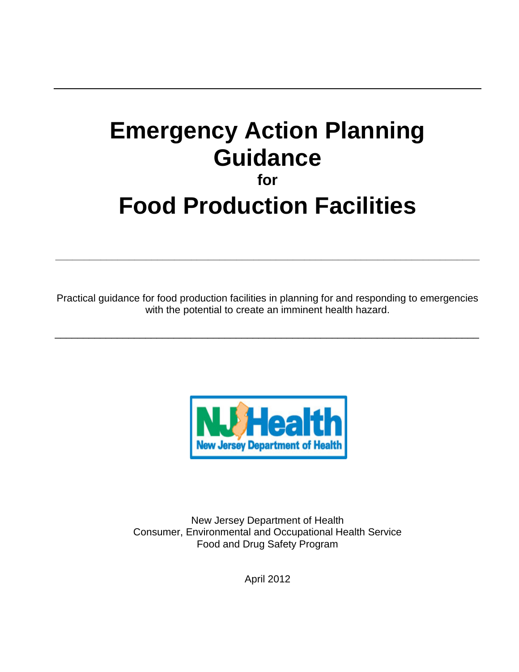# **Emergency Action Planning Guidance for**

# **Food Production Facilities**

Practical guidance for food production facilities in planning for and responding to emergencies with the potential to create an imminent health hazard.

\_\_\_\_\_\_\_\_\_\_\_\_\_\_\_\_\_\_\_\_\_\_\_\_\_\_\_\_\_\_\_\_\_\_\_\_\_\_\_\_\_\_\_\_\_\_\_\_\_\_\_\_\_\_\_\_\_\_\_\_\_\_\_\_\_\_\_\_\_\_\_\_\_\_\_

**\_\_\_\_\_\_\_\_\_\_\_\_\_\_\_\_\_\_\_\_\_\_\_\_\_\_\_\_\_\_\_\_\_\_\_\_\_\_\_\_\_\_\_\_\_\_\_\_\_\_\_\_\_\_\_\_\_\_\_\_\_\_\_\_\_\_\_\_\_\_\_\_\_\_\_**



New Jersey Department of Health Consumer, Environmental and Occupational Health Service Food and Drug Safety Program

April 2012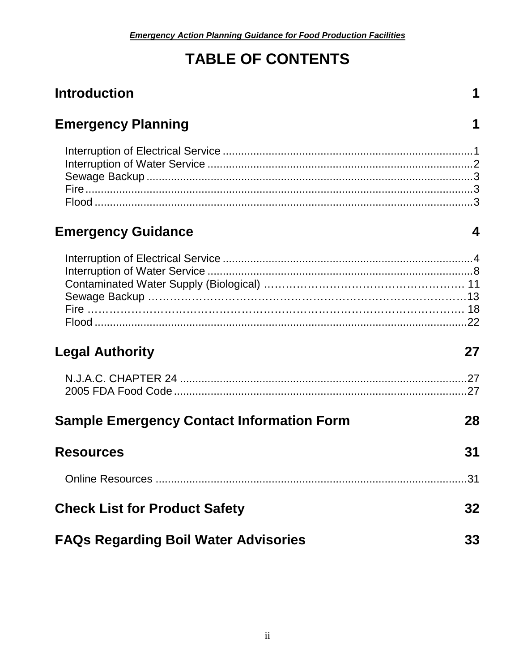## **TABLE OF CONTENTS**

## **Introduction**

## **Emergency Planning**

## **Emergency Guidance**

 $\mathbf 1$ 

 $\mathbf 1$ 

## **Legal Authority**

## 27

| <b>Sample Emergency Contact Information Form</b> | 28 |
|--------------------------------------------------|----|
|--------------------------------------------------|----|

| <b>Resources</b>                            | 31 |
|---------------------------------------------|----|
|                                             |    |
| <b>Check List for Product Safety</b>        | 32 |
| <b>FAQs Regarding Boil Water Advisories</b> | 33 |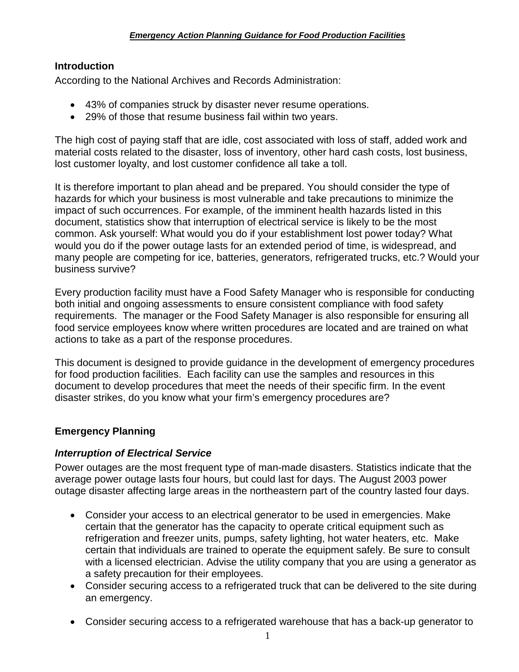#### <span id="page-2-0"></span>**Introduction**

According to the National Archives and Records Administration:

- 43% of companies struck by disaster never resume operations.
- 29% of those that resume business fail within two years.

The high cost of paying staff that are idle, cost associated with loss of staff, added work and material costs related to the disaster, loss of inventory, other hard cash costs, lost business, lost customer loyalty, and lost customer confidence all take a toll.

It is therefore important to plan ahead and be prepared. You should consider the type of hazards for which your business is most vulnerable and take precautions to minimize the impact of such occurrences. For example, of the imminent health hazards listed in this document, statistics show that interruption of electrical service is likely to be the most common. Ask yourself: What would you do if your establishment lost power today? What would you do if the power outage lasts for an extended period of time, is widespread, and many people are competing for ice, batteries, generators, refrigerated trucks, etc.? Would your business survive?

Every production facility must have a Food Safety Manager who is responsible for conducting both initial and ongoing assessments to ensure consistent compliance with food safety requirements. The manager or the Food Safety Manager is also responsible for ensuring all food service employees know where written procedures are located and are trained on what actions to take as a part of the response procedures.

This document is designed to provide guidance in the development of emergency procedures for food production facilities. Each facility can use the samples and resources in this document to develop procedures that meet the needs of their specific firm. In the event disaster strikes, do you know what your firm's emergency procedures are?

#### <span id="page-2-1"></span>**Emergency Planning**

#### <span id="page-2-2"></span>*Interruption of Electrical Service*

Power outages are the most frequent type of man-made disasters. Statistics indicate that the average power outage lasts four hours, but could last for days. The August 2003 power outage disaster affecting large areas in the northeastern part of the country lasted four days.

- Consider your access to an electrical generator to be used in emergencies. Make certain that the generator has the capacity to operate critical equipment such as refrigeration and freezer units, pumps, safety lighting, hot water heaters, etc. Make certain that individuals are trained to operate the equipment safely. Be sure to consult with a licensed electrician. Advise the utility company that you are using a generator as a safety precaution for their employees.
- Consider securing access to a refrigerated truck that can be delivered to the site during an emergency.
- Consider securing access to a refrigerated warehouse that has a back-up generator to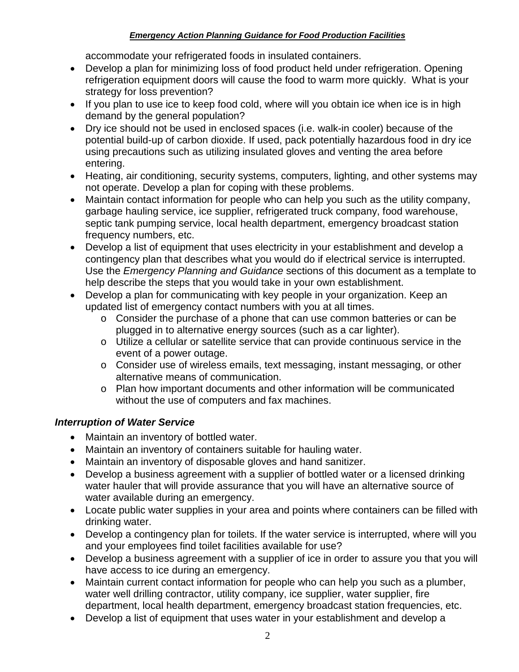accommodate your refrigerated foods in insulated containers.

- Develop a plan for minimizing loss of food product held under refrigeration. Opening refrigeration equipment doors will cause the food to warm more quickly. What is your strategy for loss prevention?
- If you plan to use ice to keep food cold, where will you obtain ice when ice is in high demand by the general population?
- Dry ice should not be used in enclosed spaces (i.e. walk-in cooler) because of the potential build-up of carbon dioxide. If used, pack potentially hazardous food in dry ice using precautions such as utilizing insulated gloves and venting the area before entering.
- Heating, air conditioning, security systems, computers, lighting, and other systems may not operate. Develop a plan for coping with these problems.
- Maintain contact information for people who can help you such as the utility company, garbage hauling service, ice supplier, refrigerated truck company, food warehouse, septic tank pumping service, local health department, emergency broadcast station frequency numbers, etc.
- Develop a list of equipment that uses electricity in your establishment and develop a contingency plan that describes what you would do if electrical service is interrupted. Use the *Emergency Planning and Guidance* sections of this document as a template to help describe the steps that you would take in your own establishment.
- Develop a plan for communicating with key people in your organization. Keep an updated list of emergency contact numbers with you at all times.
	- o Consider the purchase of a phone that can use common batteries or can be plugged in to alternative energy sources (such as a car lighter).
	- o Utilize a cellular or satellite service that can provide continuous service in the event of a power outage.
	- o Consider use of wireless emails, text messaging, instant messaging, or other alternative means of communication.
	- o Plan how important documents and other information will be communicated without the use of computers and fax machines.

## <span id="page-3-0"></span>*Interruption of Water Service*

- Maintain an inventory of bottled water.
- Maintain an inventory of containers suitable for hauling water.
- Maintain an inventory of disposable gloves and hand sanitizer.
- Develop a business agreement with a supplier of bottled water or a licensed drinking water hauler that will provide assurance that you will have an alternative source of water available during an emergency.
- Locate public water supplies in your area and points where containers can be filled with drinking water.
- Develop a contingency plan for toilets. If the water service is interrupted, where will you and your employees find toilet facilities available for use?
- Develop a business agreement with a supplier of ice in order to assure you that you will have access to ice during an emergency.
- Maintain current contact information for people who can help you such as a plumber, water well drilling contractor, utility company, ice supplier, water supplier, fire department, local health department, emergency broadcast station frequencies, etc.
- Develop a list of equipment that uses water in your establishment and develop a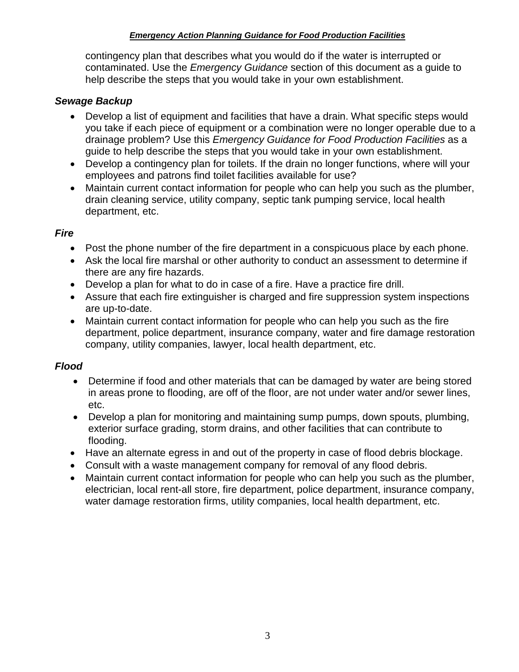contingency plan that describes what you would do if the water is interrupted or contaminated. Use the *Emergency Guidance* section of this document as a guide to help describe the steps that you would take in your own establishment.

## <span id="page-4-0"></span>*Sewage Backup*

- Develop a list of equipment and facilities that have a drain. What specific steps would you take if each piece of equipment or a combination were no longer operable due to a drainage problem? Use this *Emergency Guidance for Food Production Facilities* as a guide to help describe the steps that you would take in your own establishment.
- Develop a contingency plan for toilets. If the drain no longer functions, where will your employees and patrons find toilet facilities available for use?
- Maintain current contact information for people who can help you such as the plumber, drain cleaning service, utility company, septic tank pumping service, local health department, etc.

## <span id="page-4-1"></span>*Fire*

- Post the phone number of the fire department in a conspicuous place by each phone.
- Ask the local fire marshal or other authority to conduct an assessment to determine if there are any fire hazards.
- Develop a plan for what to do in case of a fire. Have a practice fire drill.
- Assure that each fire extinguisher is charged and fire suppression system inspections are up-to-date.
- Maintain current contact information for people who can help you such as the fire department, police department, insurance company, water and fire damage restoration company, utility companies, lawyer, local health department, etc.

#### <span id="page-4-2"></span>*Flood*

- Determine if food and other materials that can be damaged by water are being stored in areas prone to flooding, are off of the floor, are not under water and/or sewer lines, etc.
- Develop a plan for monitoring and maintaining sump pumps, down spouts, plumbing, exterior surface grading, storm drains, and other facilities that can contribute to flooding.
- Have an alternate egress in and out of the property in case of flood debris blockage.
- Consult with a waste management company for removal of any flood debris.
- Maintain current contact information for people who can help you such as the plumber, electrician, local rent-all store, fire department, police department, insurance company, water damage restoration firms, utility companies, local health department, etc.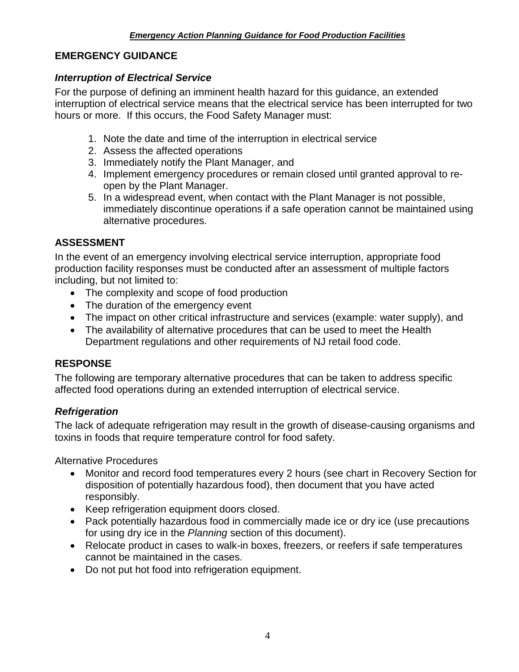## <span id="page-5-0"></span>**EMERGENCY GUIDANCE**

### <span id="page-5-1"></span>*Interruption of Electrical Service*

For the purpose of defining an imminent health hazard for this guidance, an extended interruption of electrical service means that the electrical service has been interrupted for two hours or more. If this occurs, the Food Safety Manager must:

- 1. Note the date and time of the interruption in electrical service
- 2. Assess the affected operations
- 3. Immediately notify the Plant Manager, and
- 4. Implement emergency procedures or remain closed until granted approval to reopen by the Plant Manager.
- 5. In a widespread event, when contact with the Plant Manager is not possible, immediately discontinue operations if a safe operation cannot be maintained using alternative procedures.

## **ASSESSMENT**

In the event of an emergency involving electrical service interruption, appropriate food production facility responses must be conducted after an assessment of multiple factors including, but not limited to:

- The complexity and scope of food production
- The duration of the emergency event
- The impact on other critical infrastructure and services (example: water supply), and
- The availability of alternative procedures that can be used to meet the Health Department regulations and other requirements of NJ retail food code.

## **RESPONSE**

The following are temporary alternative procedures that can be taken to address specific affected food operations during an extended interruption of electrical service.

## *Refrigeration*

The lack of adequate refrigeration may result in the growth of disease-causing organisms and toxins in foods that require temperature control for food safety.

Alternative Procedures

- Monitor and record food temperatures every 2 hours (see chart in Recovery Section for disposition of potentially hazardous food), then document that you have acted responsibly.
- Keep refrigeration equipment doors closed.
- Pack potentially hazardous food in commercially made ice or dry ice (use precautions for using dry ice in the *Planning* section of this document).
- Relocate product in cases to walk-in boxes, freezers, or reefers if safe temperatures cannot be maintained in the cases.
- Do not put hot food into refrigeration equipment.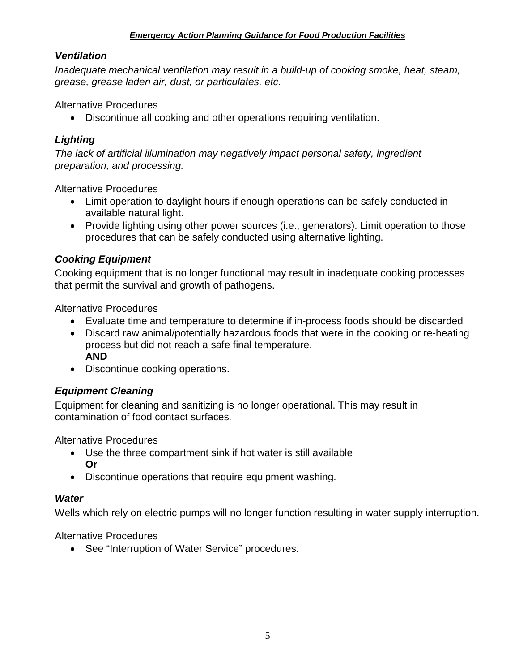#### *Ventilation*

*Inadequate mechanical ventilation may result in a build-up of cooking smoke, heat, steam, grease, grease laden air, dust, or particulates, etc.*

#### Alternative Procedures

• Discontinue all cooking and other operations requiring ventilation.

### *Lighting*

*The lack of artificial illumination may negatively impact personal safety, ingredient preparation, and processing.*

Alternative Procedures

- Limit operation to daylight hours if enough operations can be safely conducted in available natural light.
- Provide lighting using other power sources (i.e., generators). Limit operation to those procedures that can be safely conducted using alternative lighting.

## *Cooking Equipment*

Cooking equipment that is no longer functional may result in inadequate cooking processes that permit the survival and growth of pathogens.

Alternative Procedures

- Evaluate time and temperature to determine if in-process foods should be discarded
- Discard raw animal/potentially hazardous foods that were in the cooking or re-heating process but did not reach a safe final temperature. **AND**
- Discontinue cooking operations.

#### *Equipment Cleaning*

Equipment for cleaning and sanitizing is no longer operational. This may result in contamination of food contact surfaces*.*

Alternative Procedures

- Use the three compartment sink if hot water is still available **Or**
- Discontinue operations that require equipment washing.

#### *Water*

Wells which rely on electric pumps will no longer function resulting in water supply interruption.

Alternative Procedures

• See "Interruption of Water Service" procedures.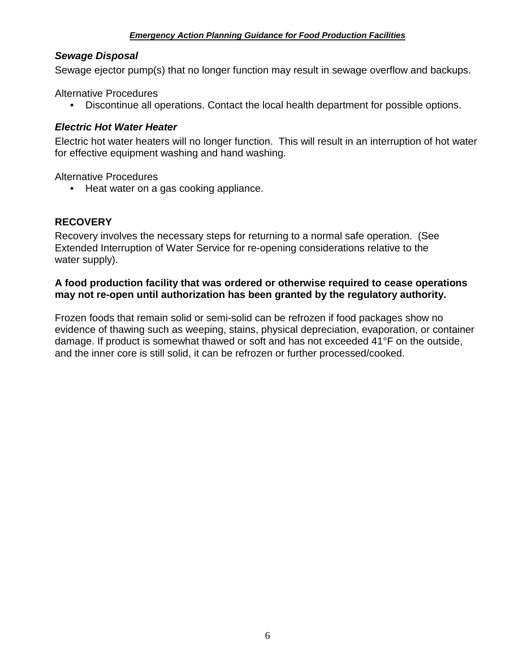## *Sewage Disposal*

Sewage ejector pump(s) that no longer function may result in sewage overflow and backups.

Alternative Procedures

• Discontinue all operations. Contact the local health department for possible options.

#### *Electric Hot Water Heater*

Electric hot water heaters will no longer function. This will result in an interruption of hot water for effective equipment washing and hand washing.

Alternative Procedures

• Heat water on a gas cooking appliance.

## **RECOVERY**

Recovery involves the necessary steps for returning to a normal safe operation. (See Extended Interruption of Water Service for re-opening considerations relative to the water supply).

#### **A food production facility that was ordered or otherwise required to cease operations may not re-open until authorization has been granted by the regulatory authority.**

Frozen foods that remain solid or semi-solid can be refrozen if food packages show no evidence of thawing such as weeping, stains, physical depreciation, evaporation, or container damage. If product is somewhat thawed or soft and has not exceeded 41°F on the outside, and the inner core is still solid, it can be refrozen or further processed/cooked.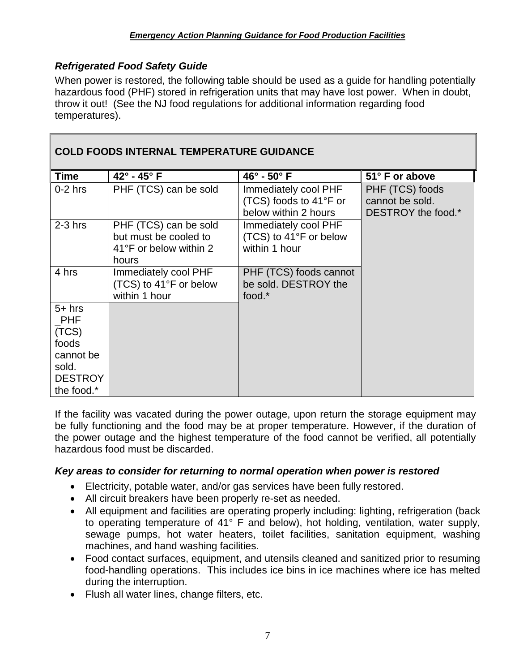## *Refrigerated Food Safety Guide*

When power is restored, the following table should be used as a guide for handling potentially hazardous food (PHF) stored in refrigeration units that may have lost power. When in doubt, throw it out! (See the NJ food regulations for additional information regarding food temperatures).

| <b>COLD FOODS INTERNAL TEMPERATURE GUIDANCE</b> |                                                                                   |                                                                        |                                                          |
|-------------------------------------------------|-----------------------------------------------------------------------------------|------------------------------------------------------------------------|----------------------------------------------------------|
| <b>Time</b>                                     | $42^{\circ}$ - $45^{\circ}$ F                                                     | $46^\circ$ - $50^\circ$ F                                              | 51° F or above                                           |
| $0-2$ hrs                                       | PHF (TCS) can be sold                                                             | Immediately cool PHF<br>(TCS) foods to 41°F or<br>below within 2 hours | PHF (TCS) foods<br>cannot be sold.<br>DESTROY the food.* |
| $2-3$ hrs                                       | PHF (TCS) can be sold<br>but must be cooled to<br>41°F or below within 2<br>hours | Immediately cool PHF<br>(TCS) to 41°F or below<br>within 1 hour        |                                                          |
| 4 hrs                                           | Immediately cool PHF<br>(TCS) to 41°F or below<br>within 1 hour                   | PHF (TCS) foods cannot<br>be sold. DESTROY the<br>food.*               |                                                          |
| $5+$ hrs<br>PHF                                 |                                                                                   |                                                                        |                                                          |
| (TCS)<br>foods                                  |                                                                                   |                                                                        |                                                          |
| cannot be<br>sold.                              |                                                                                   |                                                                        |                                                          |
| <b>DESTROY</b>                                  |                                                                                   |                                                                        |                                                          |
| the food.*                                      |                                                                                   |                                                                        |                                                          |

If the facility was vacated during the power outage, upon return the storage equipment may be fully functioning and the food may be at proper temperature. However, if the duration of the power outage and the highest temperature of the food cannot be verified, all potentially hazardous food must be discarded.

#### *Key areas to consider for returning to normal operation when power is restored*

- Electricity, potable water, and/or gas services have been fully restored.
- All circuit breakers have been properly re-set as needed.
- All equipment and facilities are operating properly including: lighting, refrigeration (back to operating temperature of 41° F and below), hot holding, ventilation, water supply, sewage pumps, hot water heaters, toilet facilities, sanitation equipment, washing machines, and hand washing facilities.
- Food contact surfaces, equipment, and utensils cleaned and sanitized prior to resuming food-handling operations. This includes ice bins in ice machines where ice has melted during the interruption.
- Flush all water lines, change filters, etc.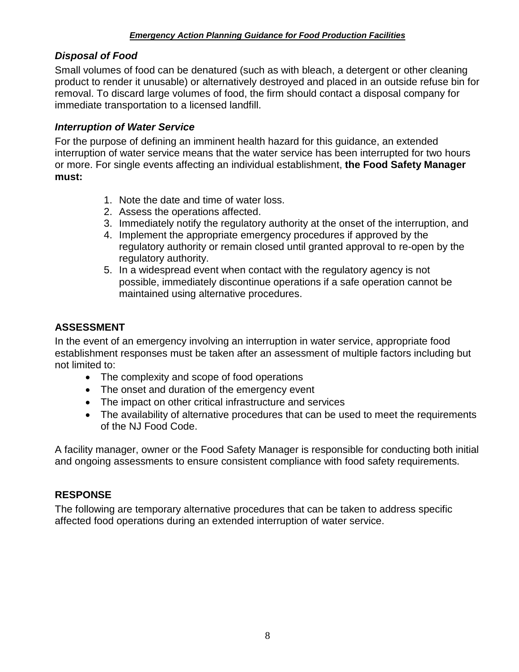## *Disposal of Food*

Small volumes of food can be denatured (such as with bleach, a detergent or other cleaning product to render it unusable) or alternatively destroyed and placed in an outside refuse bin for removal. To discard large volumes of food, the firm should contact a disposal company for immediate transportation to a licensed landfill.

#### <span id="page-9-0"></span>*Interruption of Water Service*

For the purpose of defining an imminent health hazard for this guidance, an extended interruption of water service means that the water service has been interrupted for two hours or more. For single events affecting an individual establishment, **the Food Safety Manager must:**

- 1. Note the date and time of water loss.
- 2. Assess the operations affected.
- 3. Immediately notify the regulatory authority at the onset of the interruption, and
- 4. Implement the appropriate emergency procedures if approved by the regulatory authority or remain closed until granted approval to re-open by the regulatory authority.
- 5. In a widespread event when contact with the regulatory agency is not possible, immediately discontinue operations if a safe operation cannot be maintained using alternative procedures.

## **ASSESSMENT**

In the event of an emergency involving an interruption in water service, appropriate food establishment responses must be taken after an assessment of multiple factors including but not limited to:

- The complexity and scope of food operations
- The onset and duration of the emergency event
- The impact on other critical infrastructure and services
- The availability of alternative procedures that can be used to meet the requirements of the NJ Food Code.

A facility manager, owner or the Food Safety Manager is responsible for conducting both initial and ongoing assessments to ensure consistent compliance with food safety requirements.

## **RESPONSE**

The following are temporary alternative procedures that can be taken to address specific affected food operations during an extended interruption of water service.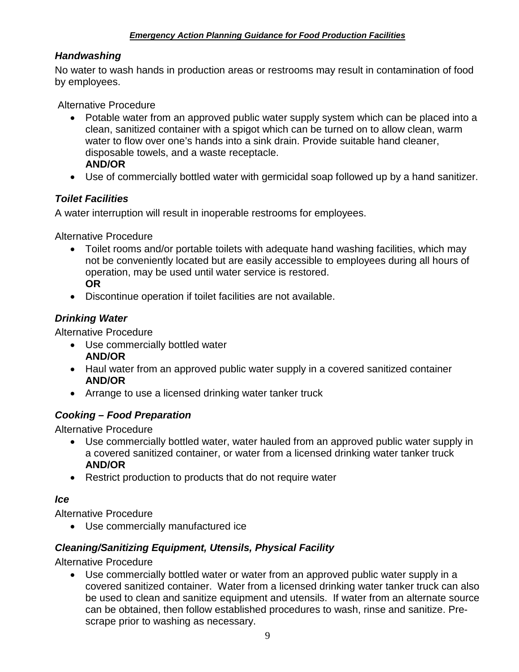## *Handwashing*

No water to wash hands in production areas or restrooms may result in contamination of food by employees.

Alternative Procedure

- Potable water from an approved public water supply system which can be placed into a clean, sanitized container with a spigot which can be turned on to allow clean, warm water to flow over one's hands into a sink drain. Provide suitable hand cleaner, disposable towels, and a waste receptacle. **AND/OR**
- Use of commercially bottled water with germicidal soap followed up by a hand sanitizer.

## *Toilet Facilities*

A water interruption will result in inoperable restrooms for employees.

Alternative Procedure

- Toilet rooms and/or portable toilets with adequate hand washing facilities, which may not be conveniently located but are easily accessible to employees during all hours of operation, may be used until water service is restored. **OR**
- Discontinue operation if toilet facilities are not available.

## *Drinking Water*

Alternative Procedure

- Use commercially bottled water **AND/OR**
- Haul water from an approved public water supply in a covered sanitized container **AND/OR**
- Arrange to use a licensed drinking water tanker truck

## *Cooking – Food Preparation*

Alternative Procedure

- Use commercially bottled water, water hauled from an approved public water supply in a covered sanitized container, or water from a licensed drinking water tanker truck **AND/OR**
- Restrict production to products that do not require water

#### *Ice*

Alternative Procedure

• Use commercially manufactured ice

## *Cleaning/Sanitizing Equipment, Utensils, Physical Facility*

Alternative Procedure

• Use commercially bottled water or water from an approved public water supply in a covered sanitized container. Water from a licensed drinking water tanker truck can also be used to clean and sanitize equipment and utensils. If water from an alternate source can be obtained, then follow established procedures to wash, rinse and sanitize. Prescrape prior to washing as necessary.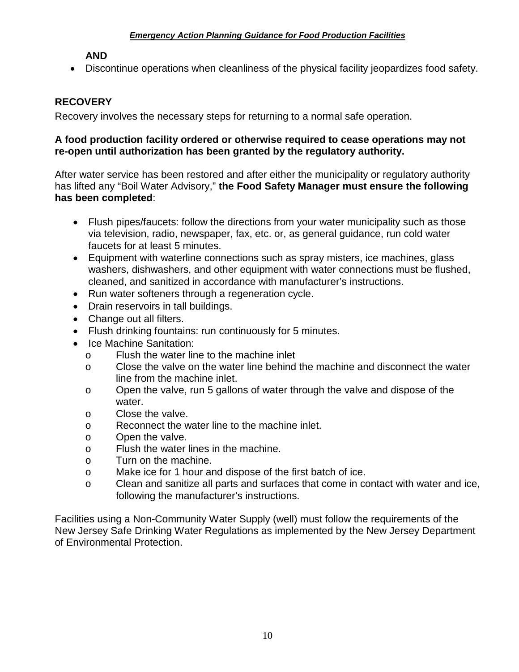#### **AND**

• Discontinue operations when cleanliness of the physical facility jeopardizes food safety.

### **RECOVERY**

Recovery involves the necessary steps for returning to a normal safe operation.

#### **A food production facility ordered or otherwise required to cease operations may not re-open until authorization has been granted by the regulatory authority.**

After water service has been restored and after either the municipality or regulatory authority has lifted any "Boil Water Advisory," **the Food Safety Manager must ensure the following has been completed**:

- Flush pipes/faucets: follow the directions from your water municipality such as those via television, radio, newspaper, fax, etc. or, as general guidance, run cold water faucets for at least 5 minutes.
- Equipment with waterline connections such as spray misters, ice machines, glass washers, dishwashers, and other equipment with water connections must be flushed, cleaned, and sanitized in accordance with manufacturer's instructions.
- Run water softeners through a regeneration cycle.
- Drain reservoirs in tall buildings.
- Change out all filters.
- Flush drinking fountains: run continuously for 5 minutes.
- Ice Machine Sanitation:
	- o Flush the water line to the machine inlet
	- o Close the valve on the water line behind the machine and disconnect the water line from the machine inlet.
	- o Open the valve, run 5 gallons of water through the valve and dispose of the water.
	- o Close the valve.
	- o Reconnect the water line to the machine inlet.
	- o Open the valve.
	- o Flush the water lines in the machine.
	- o Turn on the machine.
	- o Make ice for 1 hour and dispose of the first batch of ice.
	- o Clean and sanitize all parts and surfaces that come in contact with water and ice, following the manufacturer's instructions.

Facilities using a Non-Community Water Supply (well) must follow the requirements of the New Jersey Safe Drinking Water Regulations as implemented by the New Jersey Department of Environmental Protection.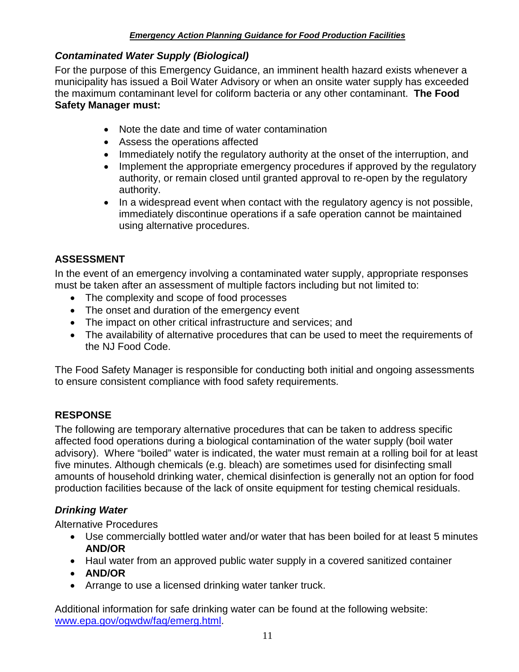### *Contaminated Water Supply (Biological)*

For the purpose of this Emergency Guidance, an imminent health hazard exists whenever a municipality has issued a Boil Water Advisory or when an onsite water supply has exceeded the maximum contaminant level for coliform bacteria or any other contaminant. **The Food Safety Manager must:**

- Note the date and time of water contamination
- Assess the operations affected
- Immediately notify the regulatory authority at the onset of the interruption, and
- Implement the appropriate emergency procedures if approved by the regulatory authority, or remain closed until granted approval to re-open by the regulatory authority.
- In a widespread event when contact with the regulatory agency is not possible, immediately discontinue operations if a safe operation cannot be maintained using alternative procedures.

## **ASSESSMENT**

In the event of an emergency involving a contaminated water supply, appropriate responses must be taken after an assessment of multiple factors including but not limited to:

- The complexity and scope of food processes
- The onset and duration of the emergency event
- The impact on other critical infrastructure and services; and
- The availability of alternative procedures that can be used to meet the requirements of the NJ Food Code.

The Food Safety Manager is responsible for conducting both initial and ongoing assessments to ensure consistent compliance with food safety requirements.

## **RESPONSE**

The following are temporary alternative procedures that can be taken to address specific affected food operations during a biological contamination of the water supply (boil water advisory). Where "boiled" water is indicated, the water must remain at a rolling boil for at least five minutes. Although chemicals (e.g. bleach) are sometimes used for disinfecting small amounts of household drinking water, chemical disinfection is generally not an option for food production facilities because of the lack of onsite equipment for testing chemical residuals.

## *Drinking Water*

Alternative Procedures

- Use commercially bottled water and/or water that has been boiled for at least 5 minutes **AND/OR**
- Haul water from an approved public water supply in a covered sanitized container
- **AND/OR**
- Arrange to use a licensed drinking water tanker truck.

Additional information for safe drinking water can be found at the following website: [www.epa.gov/ogwdw/faq/emerg.html.](http://www.epa.gov/ogwdw/faq/emerg.html)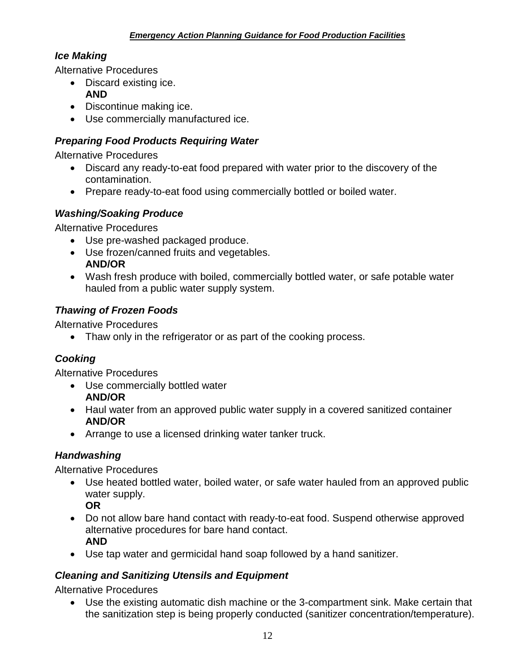## *Ice Making*

Alternative Procedures

- Discard existing ice.
- **AND**
- Discontinue making ice.
- Use commercially manufactured ice.

## *Preparing Food Products Requiring Water*

Alternative Procedures

- Discard any ready-to-eat food prepared with water prior to the discovery of the contamination.
- Prepare ready-to-eat food using commercially bottled or boiled water.

## *Washing/Soaking Produce*

Alternative Procedures

- Use pre-washed packaged produce.
- Use frozen/canned fruits and vegetables. **AND/OR**
- Wash fresh produce with boiled, commercially bottled water, or safe potable water hauled from a public water supply system.

## *Thawing of Frozen Foods*

Alternative Procedures

• Thaw only in the refrigerator or as part of the cooking process.

## *Cooking*

Alternative Procedures

- Use commercially bottled water **AND/OR**
- Haul water from an approved public water supply in a covered sanitized container **AND/OR**
- Arrange to use a licensed drinking water tanker truck.

## *Handwashing*

Alternative Procedures

• Use heated bottled water, boiled water, or safe water hauled from an approved public water supply.

**OR**

- Do not allow bare hand contact with ready-to-eat food. Suspend otherwise approved alternative procedures for bare hand contact. **AND**
- Use tap water and germicidal hand soap followed by a hand sanitizer.

## *Cleaning and Sanitizing Utensils and Equipment*

Alternative Procedures

• Use the existing automatic dish machine or the 3-compartment sink. Make certain that the sanitization step is being properly conducted (sanitizer concentration/temperature).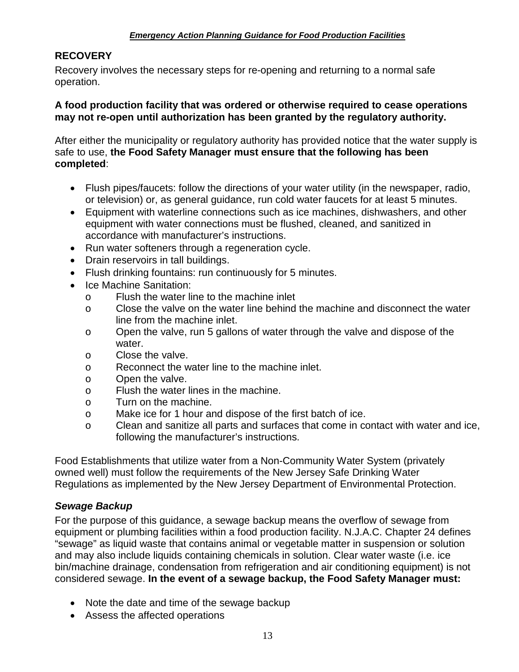## **RECOVERY**

Recovery involves the necessary steps for re-opening and returning to a normal safe operation.

#### **A food production facility that was ordered or otherwise required to cease operations may not re-open until authorization has been granted by the regulatory authority.**

After either the municipality or regulatory authority has provided notice that the water supply is safe to use, **the Food Safety Manager must ensure that the following has been completed**:

- Flush pipes/faucets: follow the directions of your water utility (in the newspaper, radio, or television) or, as general guidance, run cold water faucets for at least 5 minutes.
- Equipment with waterline connections such as ice machines, dishwashers, and other equipment with water connections must be flushed, cleaned, and sanitized in accordance with manufacturer's instructions.
- Run water softeners through a regeneration cycle.
- Drain reservoirs in tall buildings.
- Flush drinking fountains: run continuously for 5 minutes.
- Ice Machine Sanitation:
	- o Flush the water line to the machine inlet
	- o Close the valve on the water line behind the machine and disconnect the water line from the machine inlet.
	- o Open the valve, run 5 gallons of water through the valve and dispose of the water.
	- o Close the valve.
	- o Reconnect the water line to the machine inlet.
	- o Open the valve.
	- o Flush the water lines in the machine.
	- o Turn on the machine.
	- o Make ice for 1 hour and dispose of the first batch of ice.
	- o Clean and sanitize all parts and surfaces that come in contact with water and ice, following the manufacturer's instructions.

Food Establishments that utilize water from a Non-Community Water System (privately owned well) must follow the requirements of the New Jersey Safe Drinking Water Regulations as implemented by the New Jersey Department of Environmental Protection.

#### *Sewage Backup*

For the purpose of this guidance, a sewage backup means the overflow of sewage from equipment or plumbing facilities within a food production facility. N.J.A.C. Chapter 24 defines "sewage" as liquid waste that contains animal or vegetable matter in suspension or solution and may also include liquids containing chemicals in solution. Clear water waste (i.e. ice bin/machine drainage, condensation from refrigeration and air conditioning equipment) is not considered sewage. **In the event of a sewage backup, the Food Safety Manager must:**

- Note the date and time of the sewage backup
- Assess the affected operations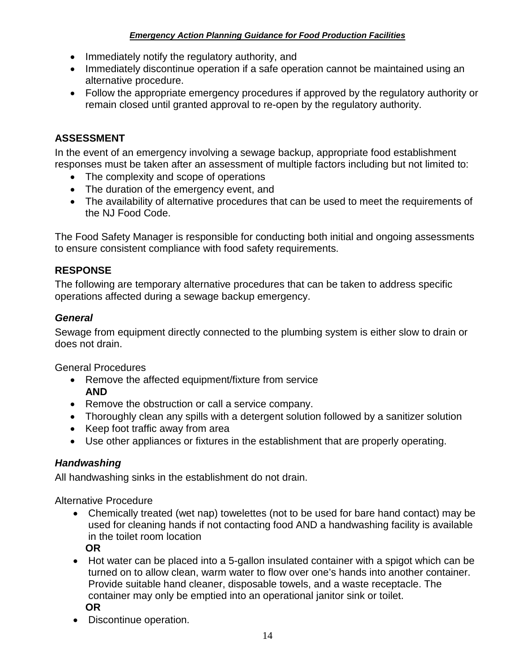- Immediately notify the regulatory authority, and
- Immediately discontinue operation if a safe operation cannot be maintained using an alternative procedure.
- Follow the appropriate emergency procedures if approved by the regulatory authority or remain closed until granted approval to re-open by the regulatory authority.

## **ASSESSMENT**

In the event of an emergency involving a sewage backup, appropriate food establishment responses must be taken after an assessment of multiple factors including but not limited to:

- The complexity and scope of operations
- The duration of the emergency event, and
- The availability of alternative procedures that can be used to meet the requirements of the NJ Food Code.

The Food Safety Manager is responsible for conducting both initial and ongoing assessments to ensure consistent compliance with food safety requirements.

## **RESPONSE**

The following are temporary alternative procedures that can be taken to address specific operations affected during a sewage backup emergency.

## *General*

Sewage from equipment directly connected to the plumbing system is either slow to drain or does not drain.

General Procedures

- Remove the affected equipment/fixture from service **AND**
- Remove the obstruction or call a service company.
- Thoroughly clean any spills with a detergent solution followed by a sanitizer solution
- Keep foot traffic away from area
- Use other appliances or fixtures in the establishment that are properly operating.

#### *Handwashing*

All handwashing sinks in the establishment do not drain.

Alternative Procedure

- Chemically treated (wet nap) towelettes (not to be used for bare hand contact) may be used for cleaning hands if not contacting food AND a handwashing facility is available in the toilet room location **OR**
- Hot water can be placed into a 5-gallon insulated container with a spigot which can be turned on to allow clean, warm water to flow over one's hands into another container. Provide suitable hand cleaner, disposable towels, and a waste receptacle. The container may only be emptied into an operational janitor sink or toilet. **OR**
- Discontinue operation.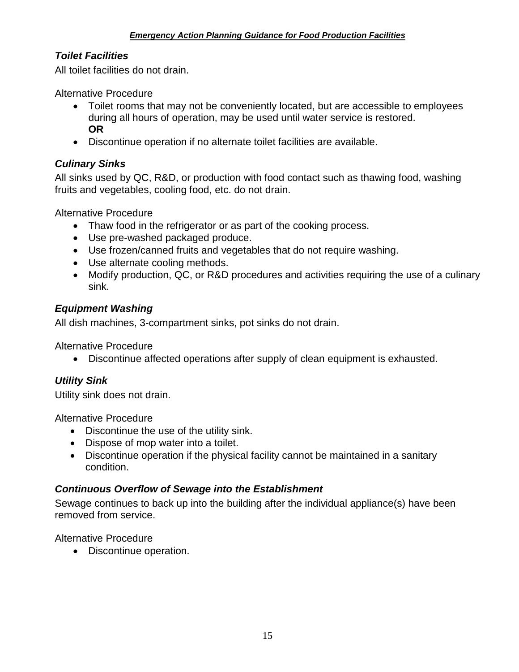## *Toilet Facilities*

All toilet facilities do not drain.

Alternative Procedure

- Toilet rooms that may not be conveniently located, but are accessible to employees during all hours of operation, may be used until water service is restored. **OR**
- Discontinue operation if no alternate toilet facilities are available.

## *Culinary Sinks*

All sinks used by QC, R&D, or production with food contact such as thawing food, washing fruits and vegetables, cooling food, etc. do not drain.

Alternative Procedure

- Thaw food in the refrigerator or as part of the cooking process.
- Use pre-washed packaged produce.
- Use frozen/canned fruits and vegetables that do not require washing.
- Use alternate cooling methods.
- Modify production, QC, or R&D procedures and activities requiring the use of a culinary sink.

#### *Equipment Washing*

All dish machines, 3-compartment sinks, pot sinks do not drain.

Alternative Procedure

• Discontinue affected operations after supply of clean equipment is exhausted.

#### *Utility Sink*

Utility sink does not drain.

Alternative Procedure

- Discontinue the use of the utility sink.
- Dispose of mop water into a toilet.
- Discontinue operation if the physical facility cannot be maintained in a sanitary condition.

#### *Continuous Overflow of Sewage into the Establishment*

Sewage continues to back up into the building after the individual appliance(s) have been removed from service.

Alternative Procedure

• Discontinue operation.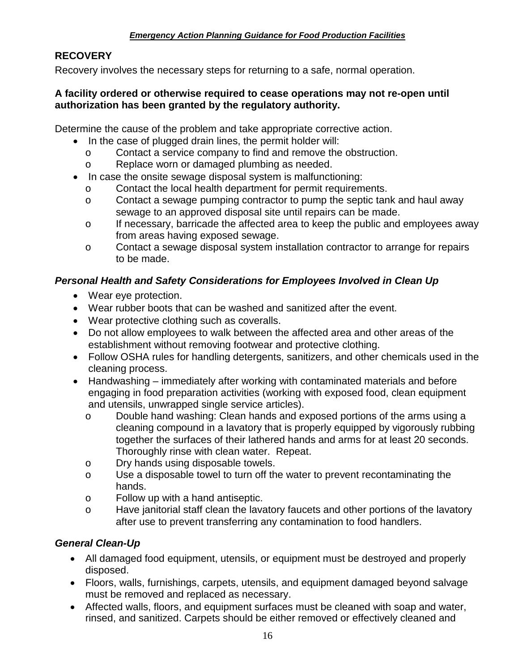## **RECOVERY**

Recovery involves the necessary steps for returning to a safe, normal operation.

#### **A facility ordered or otherwise required to cease operations may not re-open until authorization has been granted by the regulatory authority.**

Determine the cause of the problem and take appropriate corrective action.

- In the case of plugged drain lines, the permit holder will:
	- o Contact a service company to find and remove the obstruction.
	- o Replace worn or damaged plumbing as needed.
- In case the onsite sewage disposal system is malfunctioning:
	- o Contact the local health department for permit requirements.
	- o Contact a sewage pumping contractor to pump the septic tank and haul away sewage to an approved disposal site until repairs can be made.
	- o If necessary, barricade the affected area to keep the public and employees away from areas having exposed sewage.
	- o Contact a sewage disposal system installation contractor to arrange for repairs to be made.

#### *Personal Health and Safety Considerations for Employees Involved in Clean Up*

- Wear eye protection.
- Wear rubber boots that can be washed and sanitized after the event.
- Wear protective clothing such as coveralls.
- Do not allow employees to walk between the affected area and other areas of the establishment without removing footwear and protective clothing.
- Follow OSHA rules for handling detergents, sanitizers, and other chemicals used in the cleaning process.
- Handwashing immediately after working with contaminated materials and before engaging in food preparation activities (working with exposed food, clean equipment and utensils, unwrapped single service articles).
	- o Double hand washing: Clean hands and exposed portions of the arms using a cleaning compound in a lavatory that is properly equipped by vigorously rubbing together the surfaces of their lathered hands and arms for at least 20 seconds. Thoroughly rinse with clean water. Repeat.
	- o Dry hands using disposable towels.
	- o Use a disposable towel to turn off the water to prevent recontaminating the hands.
	- o Follow up with a hand antiseptic.
	- o Have janitorial staff clean the lavatory faucets and other portions of the lavatory after use to prevent transferring any contamination to food handlers.

## *General Clean-Up*

- All damaged food equipment, utensils, or equipment must be destroyed and properly disposed.
- Floors, walls, furnishings, carpets, utensils, and equipment damaged beyond salvage must be removed and replaced as necessary.
- Affected walls, floors, and equipment surfaces must be cleaned with soap and water, rinsed, and sanitized. Carpets should be either removed or effectively cleaned and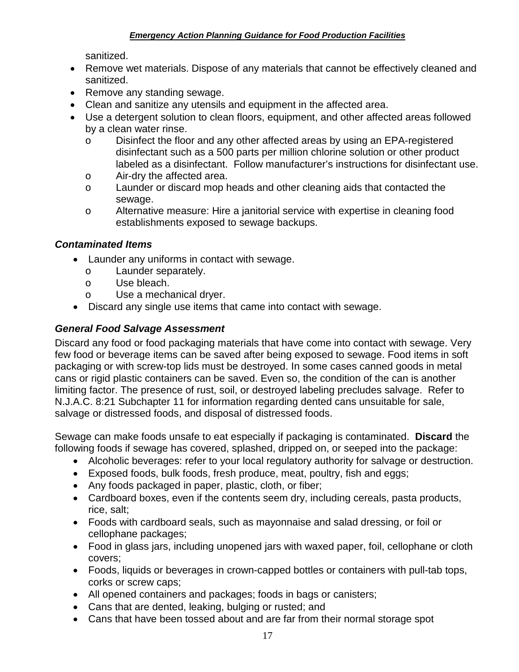sanitized.

- Remove wet materials. Dispose of any materials that cannot be effectively cleaned and sanitized.
- Remove any standing sewage.
- Clean and sanitize any utensils and equipment in the affected area.
- Use a detergent solution to clean floors, equipment, and other affected areas followed by a clean water rinse.
	- o Disinfect the floor and any other affected areas by using an EPA-registered disinfectant such as a 500 parts per million chlorine solution or other product labeled as a disinfectant. Follow manufacturer's instructions for disinfectant use.
	- o Air-dry the affected area.
	- o Launder or discard mop heads and other cleaning aids that contacted the sewage.
	- o Alternative measure: Hire a janitorial service with expertise in cleaning food establishments exposed to sewage backups.

#### *Contaminated Items*

- Launder any uniforms in contact with sewage.
	- o Launder separately.
	- o Use bleach.
	- o Use a mechanical dryer.
- Discard any single use items that came into contact with sewage.

#### *General Food Salvage Assessment*

Discard any food or food packaging materials that have come into contact with sewage. Very few food or beverage items can be saved after being exposed to sewage. Food items in soft packaging or with screw-top lids must be destroyed. In some cases canned goods in metal cans or rigid plastic containers can be saved. Even so, the condition of the can is another limiting factor. The presence of rust, soil, or destroyed labeling precludes salvage. Refer to N.J.A.C. 8:21 Subchapter 11 for information regarding dented cans unsuitable for sale, salvage or distressed foods, and disposal of distressed foods.

Sewage can make foods unsafe to eat especially if packaging is contaminated. **Discard** the following foods if sewage has covered, splashed, dripped on, or seeped into the package:

- Alcoholic beverages: refer to your local regulatory authority for salvage or destruction.
- Exposed foods, bulk foods, fresh produce, meat, poultry, fish and eggs;
- Any foods packaged in paper, plastic, cloth, or fiber;
- Cardboard boxes, even if the contents seem dry, including cereals, pasta products, rice, salt;
- Foods with cardboard seals, such as mayonnaise and salad dressing, or foil or cellophane packages;
- Food in glass jars, including unopened jars with waxed paper, foil, cellophane or cloth covers;
- Foods, liquids or beverages in crown-capped bottles or containers with pull-tab tops, corks or screw caps;
- All opened containers and packages; foods in bags or canisters;
- Cans that are dented, leaking, bulging or rusted; and
- Cans that have been tossed about and are far from their normal storage spot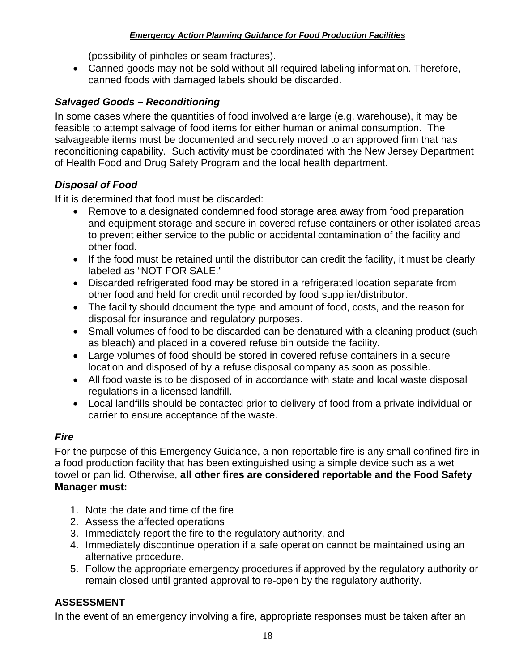(possibility of pinholes or seam fractures).

• Canned goods may not be sold without all required labeling information. Therefore, canned foods with damaged labels should be discarded.

## *Salvaged Goods – Reconditioning*

In some cases where the quantities of food involved are large (e.g. warehouse), it may be feasible to attempt salvage of food items for either human or animal consumption. The salvageable items must be documented and securely moved to an approved firm that has reconditioning capability. Such activity must be coordinated with the New Jersey Department of Health Food and Drug Safety Program and the local health department.

## *Disposal of Food*

If it is determined that food must be discarded:

- Remove to a designated condemned food storage area away from food preparation and equipment storage and secure in covered refuse containers or other isolated areas to prevent either service to the public or accidental contamination of the facility and other food.
- If the food must be retained until the distributor can credit the facility, it must be clearly labeled as "NOT FOR SALE."
- Discarded refrigerated food may be stored in a refrigerated location separate from other food and held for credit until recorded by food supplier/distributor.
- The facility should document the type and amount of food, costs, and the reason for disposal for insurance and regulatory purposes.
- Small volumes of food to be discarded can be denatured with a cleaning product (such as bleach) and placed in a covered refuse bin outside the facility.
- Large volumes of food should be stored in covered refuse containers in a secure location and disposed of by a refuse disposal company as soon as possible.
- All food waste is to be disposed of in accordance with state and local waste disposal regulations in a licensed landfill.
- Local landfills should be contacted prior to delivery of food from a private individual or carrier to ensure acceptance of the waste.

## *Fire*

For the purpose of this Emergency Guidance, a non-reportable fire is any small confined fire in a food production facility that has been extinguished using a simple device such as a wet towel or pan lid. Otherwise, **all other fires are considered reportable and the Food Safety Manager must:**

- 1. Note the date and time of the fire
- 2. Assess the affected operations
- 3. Immediately report the fire to the regulatory authority, and
- 4. Immediately discontinue operation if a safe operation cannot be maintained using an alternative procedure.
- 5. Follow the appropriate emergency procedures if approved by the regulatory authority or remain closed until granted approval to re-open by the regulatory authority.

## **ASSESSMENT**

In the event of an emergency involving a fire, appropriate responses must be taken after an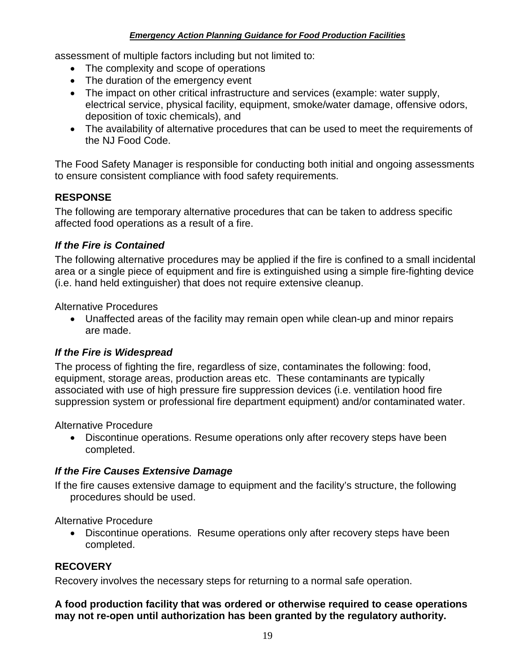assessment of multiple factors including but not limited to:

- The complexity and scope of operations
- The duration of the emergency event
- The impact on other critical infrastructure and services (example: water supply, electrical service, physical facility, equipment, smoke/water damage, offensive odors, deposition of toxic chemicals), and
- The availability of alternative procedures that can be used to meet the requirements of the NJ Food Code.

The Food Safety Manager is responsible for conducting both initial and ongoing assessments to ensure consistent compliance with food safety requirements.

## **RESPONSE**

The following are temporary alternative procedures that can be taken to address specific affected food operations as a result of a fire.

## *If the Fire is Contained*

The following alternative procedures may be applied if the fire is confined to a small incidental area or a single piece of equipment and fire is extinguished using a simple fire-fighting device (i.e. hand held extinguisher) that does not require extensive cleanup.

Alternative Procedures

• Unaffected areas of the facility may remain open while clean-up and minor repairs are made.

#### *If the Fire is Widespread*

The process of fighting the fire, regardless of size, contaminates the following: food, equipment, storage areas, production areas etc. These contaminants are typically associated with use of high pressure fire suppression devices (i.e. ventilation hood fire suppression system or professional fire department equipment) and/or contaminated water.

Alternative Procedure

• Discontinue operations. Resume operations only after recovery steps have been completed.

## *If the Fire Causes Extensive Damage*

If the fire causes extensive damage to equipment and the facility's structure, the following procedures should be used.

Alternative Procedure

• Discontinue operations. Resume operations only after recovery steps have been completed.

## **RECOVERY**

Recovery involves the necessary steps for returning to a normal safe operation.

#### **A food production facility that was ordered or otherwise required to cease operations may not re-open until authorization has been granted by the regulatory authority.**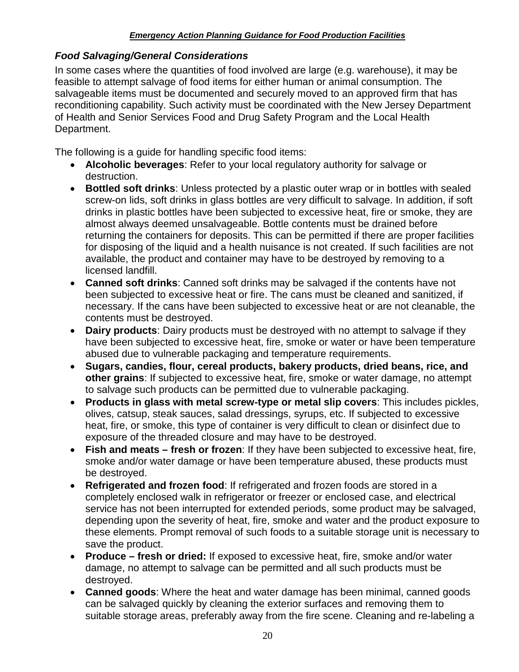## *Food Salvaging/General Considerations*

In some cases where the quantities of food involved are large (e.g. warehouse), it may be feasible to attempt salvage of food items for either human or animal consumption. The salvageable items must be documented and securely moved to an approved firm that has reconditioning capability. Such activity must be coordinated with the New Jersey Department of Health and Senior Services Food and Drug Safety Program and the Local Health Department.

The following is a guide for handling specific food items:

- **Alcoholic beverages**: Refer to your local regulatory authority for salvage or destruction.
- **Bottled soft drinks**: Unless protected by a plastic outer wrap or in bottles with sealed screw-on lids, soft drinks in glass bottles are very difficult to salvage. In addition, if soft drinks in plastic bottles have been subjected to excessive heat, fire or smoke, they are almost always deemed unsalvageable. Bottle contents must be drained before returning the containers for deposits. This can be permitted if there are proper facilities for disposing of the liquid and a health nuisance is not created. If such facilities are not available, the product and container may have to be destroyed by removing to a licensed landfill.
- **Canned soft drinks**: Canned soft drinks may be salvaged if the contents have not been subjected to excessive heat or fire. The cans must be cleaned and sanitized, if necessary. If the cans have been subjected to excessive heat or are not cleanable, the contents must be destroyed.
- **Dairy products**: Dairy products must be destroyed with no attempt to salvage if they have been subjected to excessive heat, fire, smoke or water or have been temperature abused due to vulnerable packaging and temperature requirements.
- **Sugars, candies, flour, cereal products, bakery products, dried beans, rice, and other grains**: If subjected to excessive heat, fire, smoke or water damage, no attempt to salvage such products can be permitted due to vulnerable packaging.
- **Products in glass with metal screw-type or metal slip covers**: This includes pickles, olives, catsup, steak sauces, salad dressings, syrups, etc. If subjected to excessive heat, fire, or smoke, this type of container is very difficult to clean or disinfect due to exposure of the threaded closure and may have to be destroyed.
- **Fish and meats – fresh or frozen**: If they have been subjected to excessive heat, fire, smoke and/or water damage or have been temperature abused, these products must be destroyed.
- **Refrigerated and frozen food**: If refrigerated and frozen foods are stored in a completely enclosed walk in refrigerator or freezer or enclosed case, and electrical service has not been interrupted for extended periods, some product may be salvaged, depending upon the severity of heat, fire, smoke and water and the product exposure to these elements. Prompt removal of such foods to a suitable storage unit is necessary to save the product.
- **Produce – fresh or dried:** If exposed to excessive heat, fire, smoke and/or water damage, no attempt to salvage can be permitted and all such products must be destroyed.
- **Canned goods**: Where the heat and water damage has been minimal, canned goods can be salvaged quickly by cleaning the exterior surfaces and removing them to suitable storage areas, preferably away from the fire scene. Cleaning and re-labeling a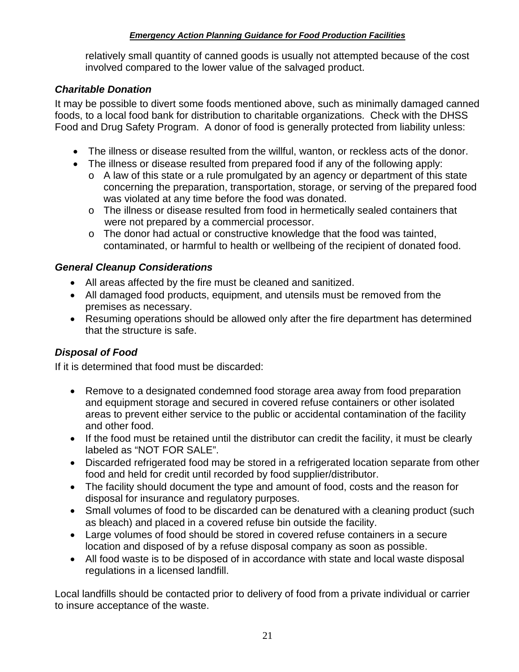relatively small quantity of canned goods is usually not attempted because of the cost involved compared to the lower value of the salvaged product.

### *Charitable Donation*

It may be possible to divert some foods mentioned above, such as minimally damaged canned foods, to a local food bank for distribution to charitable organizations. Check with the DHSS Food and Drug Safety Program. A donor of food is generally protected from liability unless:

- The illness or disease resulted from the willful, wanton, or reckless acts of the donor.
- The illness or disease resulted from prepared food if any of the following apply:
	- o A law of this state or a rule promulgated by an agency or department of this state concerning the preparation, transportation, storage, or serving of the prepared food was violated at any time before the food was donated.
	- o The illness or disease resulted from food in hermetically sealed containers that were not prepared by a commercial processor.
	- o The donor had actual or constructive knowledge that the food was tainted, contaminated, or harmful to health or wellbeing of the recipient of donated food.

## *General Cleanup Considerations*

- All areas affected by the fire must be cleaned and sanitized.
- All damaged food products, equipment, and utensils must be removed from the premises as necessary.
- Resuming operations should be allowed only after the fire department has determined that the structure is safe.

## *Disposal of Food*

If it is determined that food must be discarded:

- Remove to a designated condemned food storage area away from food preparation and equipment storage and secured in covered refuse containers or other isolated areas to prevent either service to the public or accidental contamination of the facility and other food.
- If the food must be retained until the distributor can credit the facility, it must be clearly labeled as "NOT FOR SALE".
- Discarded refrigerated food may be stored in a refrigerated location separate from other food and held for credit until recorded by food supplier/distributor.
- The facility should document the type and amount of food, costs and the reason for disposal for insurance and regulatory purposes.
- Small volumes of food to be discarded can be denatured with a cleaning product (such as bleach) and placed in a covered refuse bin outside the facility.
- Large volumes of food should be stored in covered refuse containers in a secure location and disposed of by a refuse disposal company as soon as possible.
- All food waste is to be disposed of in accordance with state and local waste disposal regulations in a licensed landfill.

Local landfills should be contacted prior to delivery of food from a private individual or carrier to insure acceptance of the waste.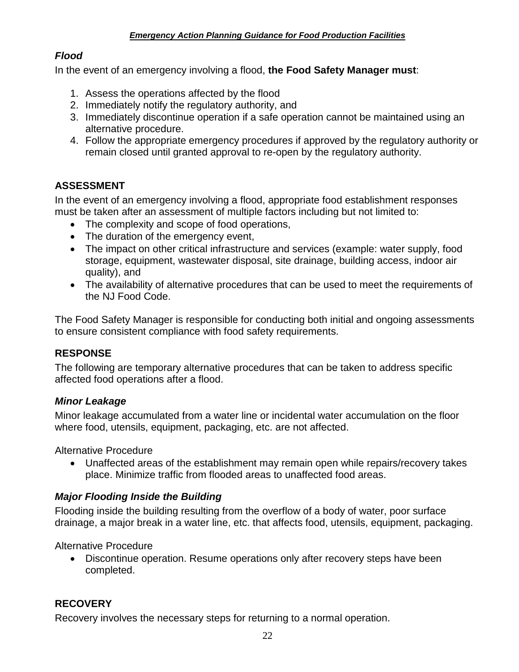## <span id="page-23-0"></span>*Flood*

In the event of an emergency involving a flood, **the Food Safety Manager must**:

- 1. Assess the operations affected by the flood
- 2. Immediately notify the regulatory authority, and
- 3. Immediately discontinue operation if a safe operation cannot be maintained using an alternative procedure.
- 4. Follow the appropriate emergency procedures if approved by the regulatory authority or remain closed until granted approval to re-open by the regulatory authority.

## **ASSESSMENT**

In the event of an emergency involving a flood, appropriate food establishment responses must be taken after an assessment of multiple factors including but not limited to:

- The complexity and scope of food operations,
- The duration of the emergency event,
- The impact on other critical infrastructure and services (example: water supply, food storage, equipment, wastewater disposal, site drainage, building access, indoor air quality), and
- The availability of alternative procedures that can be used to meet the requirements of the NJ Food Code.

The Food Safety Manager is responsible for conducting both initial and ongoing assessments to ensure consistent compliance with food safety requirements.

#### **RESPONSE**

The following are temporary alternative procedures that can be taken to address specific affected food operations after a flood.

#### *Minor Leakage*

Minor leakage accumulated from a water line or incidental water accumulation on the floor where food, utensils, equipment, packaging, etc. are not affected.

Alternative Procedure

• Unaffected areas of the establishment may remain open while repairs/recovery takes place. Minimize traffic from flooded areas to unaffected food areas.

#### *Major Flooding Inside the Building*

Flooding inside the building resulting from the overflow of a body of water, poor surface drainage, a major break in a water line, etc. that affects food, utensils, equipment, packaging.

Alternative Procedure

• Discontinue operation. Resume operations only after recovery steps have been completed.

## **RECOVERY**

Recovery involves the necessary steps for returning to a normal operation.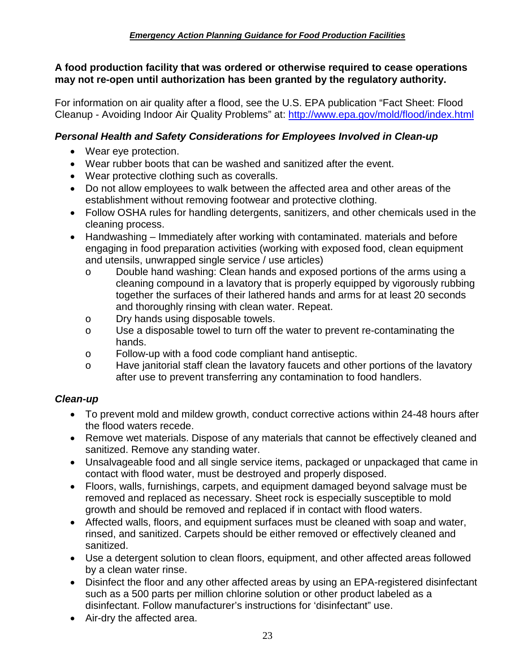#### **A food production facility that was ordered or otherwise required to cease operations may not re-open until authorization has been granted by the regulatory authority.**

For information on air quality after a flood, see the U.S. EPA publication "Fact Sheet: Flood Cleanup - Avoiding Indoor Air Quality Problems" at:<http://www.epa.gov/mold/flood/index.html>

## *Personal Health and Safety Considerations for Employees Involved in Clean-up*

- Wear eye protection.
- Wear rubber boots that can be washed and sanitized after the event.
- Wear protective clothing such as coveralls.
- Do not allow employees to walk between the affected area and other areas of the establishment without removing footwear and protective clothing.
- Follow OSHA rules for handling detergents, sanitizers, and other chemicals used in the cleaning process.
- Handwashing Immediately after working with contaminated. materials and before engaging in food preparation activities (working with exposed food, clean equipment and utensils, unwrapped single service / use articles)
	- o Double hand washing: Clean hands and exposed portions of the arms using a cleaning compound in a lavatory that is properly equipped by vigorously rubbing together the surfaces of their lathered hands and arms for at least 20 seconds and thoroughly rinsing with clean water. Repeat.
	- o Dry hands using disposable towels.
	- o Use a disposable towel to turn off the water to prevent re-contaminating the hands.
	- o Follow-up with a food code compliant hand antiseptic.
	- o Have janitorial staff clean the lavatory faucets and other portions of the lavatory after use to prevent transferring any contamination to food handlers.

#### *Clean-up*

- To prevent mold and mildew growth, conduct corrective actions within 24-48 hours after the flood waters recede.
- Remove wet materials. Dispose of any materials that cannot be effectively cleaned and sanitized. Remove any standing water.
- Unsalvageable food and all single service items, packaged or unpackaged that came in contact with flood water, must be destroyed and properly disposed.
- Floors, walls, furnishings, carpets, and equipment damaged beyond salvage must be removed and replaced as necessary. Sheet rock is especially susceptible to mold growth and should be removed and replaced if in contact with flood waters.
- Affected walls, floors, and equipment surfaces must be cleaned with soap and water, rinsed, and sanitized. Carpets should be either removed or effectively cleaned and sanitized.
- Use a detergent solution to clean floors, equipment, and other affected areas followed by a clean water rinse.
- Disinfect the floor and any other affected areas by using an EPA-registered disinfectant such as a 500 parts per million chlorine solution or other product labeled as a disinfectant. Follow manufacturer's instructions for 'disinfectant" use.
- Air-dry the affected area.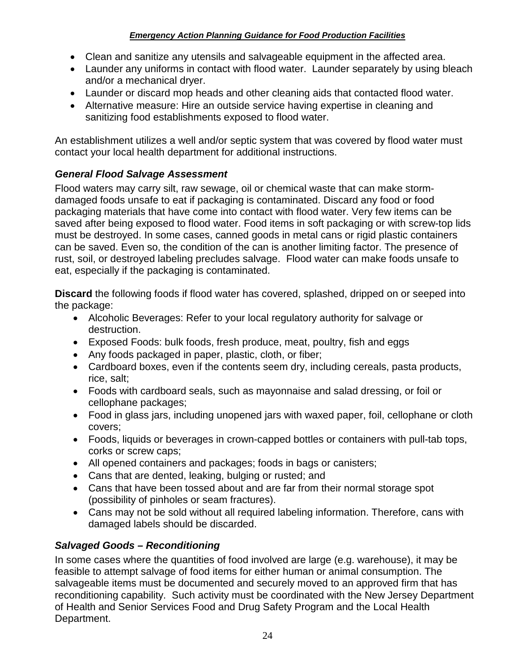- Clean and sanitize any utensils and salvageable equipment in the affected area.
- Launder any uniforms in contact with flood water. Launder separately by using bleach and/or a mechanical dryer.
- Launder or discard mop heads and other cleaning aids that contacted flood water.
- Alternative measure: Hire an outside service having expertise in cleaning and sanitizing food establishments exposed to flood water.

An establishment utilizes a well and/or septic system that was covered by flood water must contact your local health department for additional instructions.

## *General Flood Salvage Assessment*

Flood waters may carry silt, raw sewage, oil or chemical waste that can make stormdamaged foods unsafe to eat if packaging is contaminated. Discard any food or food packaging materials that have come into contact with flood water. Very few items can be saved after being exposed to flood water. Food items in soft packaging or with screw-top lids must be destroyed. In some cases, canned goods in metal cans or rigid plastic containers can be saved. Even so, the condition of the can is another limiting factor. The presence of rust, soil, or destroyed labeling precludes salvage. Flood water can make foods unsafe to eat, especially if the packaging is contaminated.

**Discard** the following foods if flood water has covered, splashed, dripped on or seeped into the package:

- Alcoholic Beverages: Refer to your local regulatory authority for salvage or destruction.
- Exposed Foods: bulk foods, fresh produce, meat, poultry, fish and eggs
- Any foods packaged in paper, plastic, cloth, or fiber;
- Cardboard boxes, even if the contents seem dry, including cereals, pasta products, rice, salt;
- Foods with cardboard seals, such as mayonnaise and salad dressing, or foil or cellophane packages;
- Food in glass jars, including unopened jars with waxed paper, foil, cellophane or cloth covers;
- Foods, liquids or beverages in crown-capped bottles or containers with pull-tab tops, corks or screw caps;
- All opened containers and packages; foods in bags or canisters;
- Cans that are dented, leaking, bulging or rusted; and
- Cans that have been tossed about and are far from their normal storage spot (possibility of pinholes or seam fractures).
- Cans may not be sold without all required labeling information. Therefore, cans with damaged labels should be discarded.

## *Salvaged Goods – Reconditioning*

In some cases where the quantities of food involved are large (e.g. warehouse), it may be feasible to attempt salvage of food items for either human or animal consumption. The salvageable items must be documented and securely moved to an approved firm that has reconditioning capability. Such activity must be coordinated with the New Jersey Department of Health and Senior Services Food and Drug Safety Program and the Local Health Department.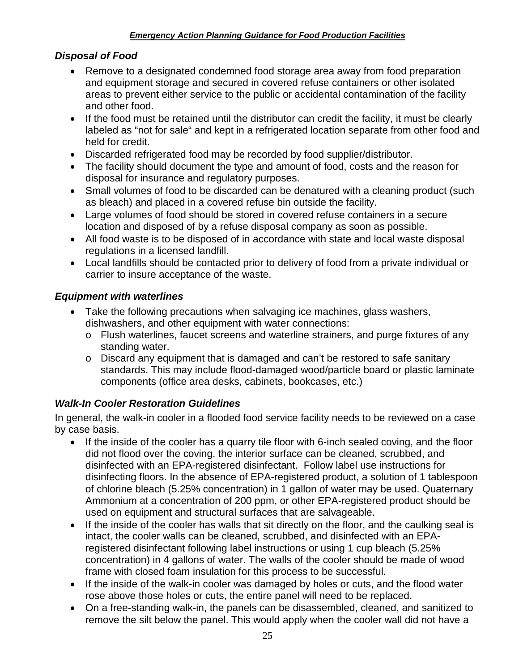### *Disposal of Food*

- Remove to a designated condemned food storage area away from food preparation and equipment storage and secured in covered refuse containers or other isolated areas to prevent either service to the public or accidental contamination of the facility and other food.
- If the food must be retained until the distributor can credit the facility, it must be clearly labeled as "not for sale" and kept in a refrigerated location separate from other food and held for credit.
- Discarded refrigerated food may be recorded by food supplier/distributor.
- The facility should document the type and amount of food, costs and the reason for disposal for insurance and regulatory purposes.
- Small volumes of food to be discarded can be denatured with a cleaning product (such as bleach) and placed in a covered refuse bin outside the facility.
- Large volumes of food should be stored in covered refuse containers in a secure location and disposed of by a refuse disposal company as soon as possible.
- All food waste is to be disposed of in accordance with state and local waste disposal regulations in a licensed landfill.
- Local landfills should be contacted prior to delivery of food from a private individual or carrier to insure acceptance of the waste.

## *Equipment with waterlines*

- Take the following precautions when salvaging ice machines, glass washers, dishwashers, and other equipment with water connections:
	- o Flush waterlines, faucet screens and waterline strainers, and purge fixtures of any standing water.
	- o Discard any equipment that is damaged and can't be restored to safe sanitary standards. This may include flood-damaged wood/particle board or plastic laminate components (office area desks, cabinets, bookcases, etc.)

## *Walk-In Cooler Restoration Guidelines*

In general, the walk-in cooler in a flooded food service facility needs to be reviewed on a case by case basis.

- If the inside of the cooler has a quarry tile floor with 6-inch sealed coving, and the floor did not flood over the coving, the interior surface can be cleaned, scrubbed, and disinfected with an EPA-registered disinfectant. Follow label use instructions for disinfecting floors. In the absence of EPA-registered product, a solution of 1 tablespoon of chlorine bleach (5.25% concentration) in 1 gallon of water may be used. Quaternary Ammonium at a concentration of 200 ppm, or other EPA-registered product should be used on equipment and structural surfaces that are salvageable.
- If the inside of the cooler has walls that sit directly on the floor, and the caulking seal is intact, the cooler walls can be cleaned, scrubbed, and disinfected with an EPAregistered disinfectant following label instructions or using 1 cup bleach (5.25% concentration) in 4 gallons of water. The walls of the cooler should be made of wood frame with closed foam insulation for this process to be successful.
- If the inside of the walk-in cooler was damaged by holes or cuts, and the flood water rose above those holes or cuts, the entire panel will need to be replaced.
- On a free-standing walk-in, the panels can be disassembled, cleaned, and sanitized to remove the silt below the panel. This would apply when the cooler wall did not have a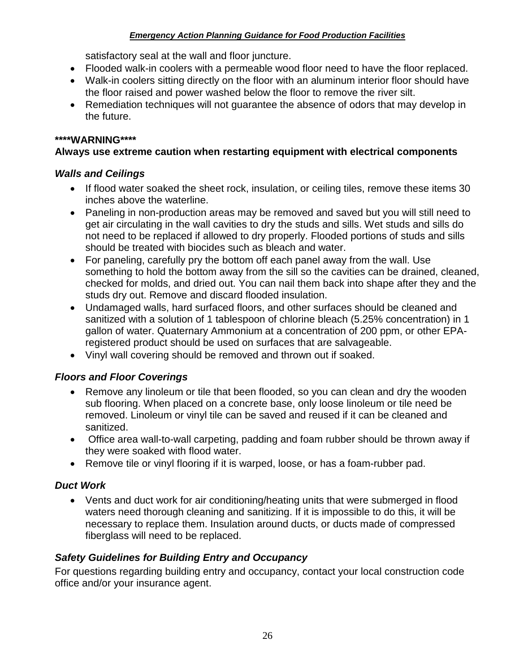satisfactory seal at the wall and floor juncture.

- Flooded walk-in coolers with a permeable wood floor need to have the floor replaced.
- Walk-in coolers sitting directly on the floor with an aluminum interior floor should have the floor raised and power washed below the floor to remove the river silt.
- Remediation techniques will not guarantee the absence of odors that may develop in the future.

### **\*\*\*\*WARNING\*\*\*\***

## **Always use extreme caution when restarting equipment with electrical components**

## *Walls and Ceilings*

- If flood water soaked the sheet rock, insulation, or ceiling tiles, remove these items 30 inches above the waterline.
- Paneling in non-production areas may be removed and saved but you will still need to get air circulating in the wall cavities to dry the studs and sills. Wet studs and sills do not need to be replaced if allowed to dry properly. Flooded portions of studs and sills should be treated with biocides such as bleach and water.
- For paneling, carefully pry the bottom off each panel away from the wall. Use something to hold the bottom away from the sill so the cavities can be drained, cleaned, checked for molds, and dried out. You can nail them back into shape after they and the studs dry out. Remove and discard flooded insulation.
- Undamaged walls, hard surfaced floors, and other surfaces should be cleaned and sanitized with a solution of 1 tablespoon of chlorine bleach (5.25% concentration) in 1 gallon of water. Quaternary Ammonium at a concentration of 200 ppm, or other EPAregistered product should be used on surfaces that are salvageable.
- Vinyl wall covering should be removed and thrown out if soaked.

## *Floors and Floor Coverings*

- Remove any linoleum or tile that been flooded, so you can clean and dry the wooden sub flooring. When placed on a concrete base, only loose linoleum or tile need be removed. Linoleum or vinyl tile can be saved and reused if it can be cleaned and sanitized.
- Office area wall-to-wall carpeting, padding and foam rubber should be thrown away if they were soaked with flood water.
- Remove tile or vinyl flooring if it is warped, loose, or has a foam-rubber pad.

## *Duct Work*

• Vents and duct work for air conditioning/heating units that were submerged in flood waters need thorough cleaning and sanitizing. If it is impossible to do this, it will be necessary to replace them. Insulation around ducts, or ducts made of compressed fiberglass will need to be replaced.

## *Safety Guidelines for Building Entry and Occupancy*

For questions regarding building entry and occupancy, contact your local construction code office and/or your insurance agent.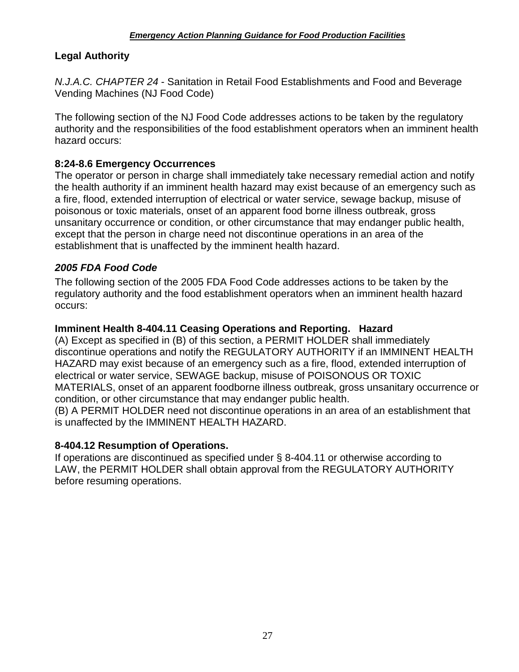## <span id="page-28-0"></span>**Legal Authority**

<span id="page-28-1"></span>*N.J.A.C. CHAPTER 24* - Sanitation in Retail Food Establishments and Food and Beverage Vending Machines (NJ Food Code)

The following section of the NJ Food Code addresses actions to be taken by the regulatory authority and the responsibilities of the food establishment operators when an imminent health hazard occurs:

## **8:24-8.6 Emergency Occurrences**

The operator or person in charge shall immediately take necessary remedial action and notify the health authority if an imminent health hazard may exist because of an emergency such as a fire, flood, extended interruption of electrical or water service, sewage backup, misuse of poisonous or toxic materials, onset of an apparent food borne illness outbreak, gross unsanitary occurrence or condition, or other circumstance that may endanger public health, except that the person in charge need not discontinue operations in an area of the establishment that is unaffected by the imminent health hazard.

## <span id="page-28-2"></span>*2005 FDA Food Code*

The following section of the 2005 FDA Food Code addresses actions to be taken by the regulatory authority and the food establishment operators when an imminent health hazard occurs:

## **Imminent Health 8-404.11 Ceasing Operations and Reporting. Hazard**

(A) Except as specified in (B) of this section, a PERMIT HOLDER shall immediately discontinue operations and notify the REGULATORY AUTHORITY if an IMMINENT HEALTH HAZARD may exist because of an emergency such as a fire, flood, extended interruption of electrical or water service, SEWAGE backup, misuse of POISONOUS OR TOXIC MATERIALS, onset of an apparent foodborne illness outbreak, gross unsanitary occurrence or condition, or other circumstance that may endanger public health.

(B) A PERMIT HOLDER need not discontinue operations in an area of an establishment that is unaffected by the IMMINENT HEALTH HAZARD.

#### **8-404.12 Resumption of Operations.**

If operations are discontinued as specified under § 8-404.11 or otherwise according to LAW, the PERMIT HOLDER shall obtain approval from the REGULATORY AUTHORITY before resuming operations.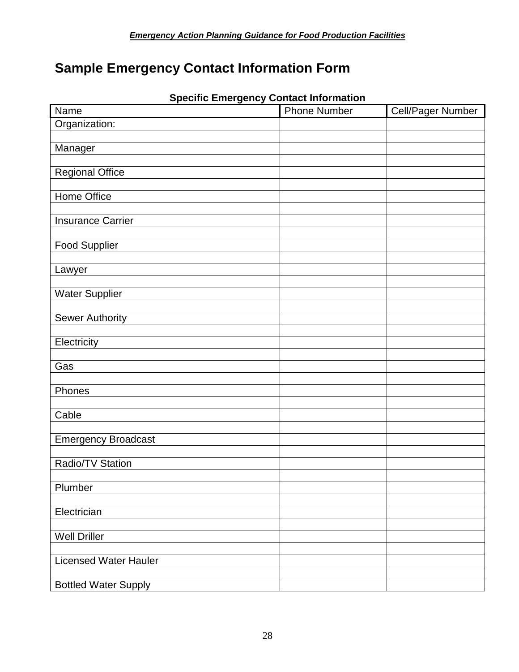## <span id="page-29-0"></span>**Sample Emergency Contact Information Form**

| Name                         | <b>Phone Number</b> | Cell/Pager Number |
|------------------------------|---------------------|-------------------|
| Organization:                |                     |                   |
|                              |                     |                   |
| Manager                      |                     |                   |
|                              |                     |                   |
| Regional Office              |                     |                   |
| <b>Home Office</b>           |                     |                   |
|                              |                     |                   |
| <b>Insurance Carrier</b>     |                     |                   |
|                              |                     |                   |
| <b>Food Supplier</b>         |                     |                   |
|                              |                     |                   |
| Lawyer                       |                     |                   |
|                              |                     |                   |
| <b>Water Supplier</b>        |                     |                   |
| <b>Sewer Authority</b>       |                     |                   |
|                              |                     |                   |
| Electricity                  |                     |                   |
|                              |                     |                   |
| Gas                          |                     |                   |
|                              |                     |                   |
| Phones                       |                     |                   |
|                              |                     |                   |
| Cable                        |                     |                   |
|                              |                     |                   |
| <b>Emergency Broadcast</b>   |                     |                   |
| Radio/TV Station             |                     |                   |
|                              |                     |                   |
| Plumber                      |                     |                   |
|                              |                     |                   |
| Electrician                  |                     |                   |
|                              |                     |                   |
| <b>Well Driller</b>          |                     |                   |
|                              |                     |                   |
| <b>Licensed Water Hauler</b> |                     |                   |
|                              |                     |                   |
| <b>Bottled Water Supply</b>  |                     |                   |

#### **Specific Emergency Contact Information**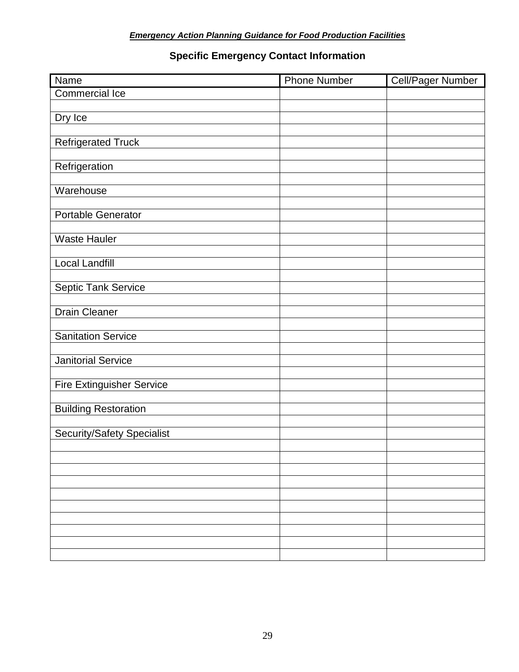## **Specific Emergency Contact Information**

| Name                              | <b>Phone Number</b> | <b>Cell/Pager Number</b> |
|-----------------------------------|---------------------|--------------------------|
| <b>Commercial Ice</b>             |                     |                          |
|                                   |                     |                          |
| Dry Ice                           |                     |                          |
|                                   |                     |                          |
| <b>Refrigerated Truck</b>         |                     |                          |
|                                   |                     |                          |
| Refrigeration                     |                     |                          |
|                                   |                     |                          |
| Warehouse                         |                     |                          |
|                                   |                     |                          |
| Portable Generator                |                     |                          |
|                                   |                     |                          |
| <b>Waste Hauler</b>               |                     |                          |
|                                   |                     |                          |
| Local Landfill                    |                     |                          |
|                                   |                     |                          |
| <b>Septic Tank Service</b>        |                     |                          |
|                                   |                     |                          |
| <b>Drain Cleaner</b>              |                     |                          |
|                                   |                     |                          |
| <b>Sanitation Service</b>         |                     |                          |
|                                   |                     |                          |
| <b>Janitorial Service</b>         |                     |                          |
|                                   |                     |                          |
| <b>Fire Extinguisher Service</b>  |                     |                          |
|                                   |                     |                          |
| <b>Building Restoration</b>       |                     |                          |
|                                   |                     |                          |
| <b>Security/Safety Specialist</b> |                     |                          |
|                                   |                     |                          |
|                                   |                     |                          |
|                                   |                     |                          |
|                                   |                     |                          |
|                                   |                     |                          |
|                                   |                     |                          |
|                                   |                     |                          |
|                                   |                     |                          |
|                                   |                     |                          |
|                                   |                     |                          |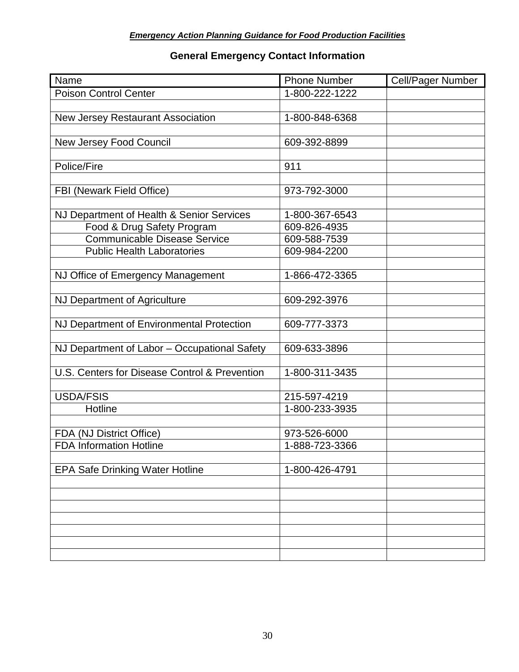## **General Emergency Contact Information**

| Name                                                       | <b>Phone Number</b>            | Cell/Pager Number |
|------------------------------------------------------------|--------------------------------|-------------------|
| <b>Poison Control Center</b>                               | 1-800-222-1222                 |                   |
|                                                            |                                |                   |
| <b>New Jersey Restaurant Association</b>                   | 1-800-848-6368                 |                   |
|                                                            |                                |                   |
| New Jersey Food Council                                    | 609-392-8899                   |                   |
|                                                            |                                |                   |
| Police/Fire                                                | 911                            |                   |
|                                                            |                                |                   |
| <b>FBI (Newark Field Office)</b>                           | 973-792-3000                   |                   |
|                                                            |                                |                   |
| NJ Department of Health & Senior Services                  | 1-800-367-6543                 |                   |
| Food & Drug Safety Program                                 | 609-826-4935                   |                   |
| <b>Communicable Disease Service</b>                        | 609-588-7539                   |                   |
| <b>Public Health Laboratories</b>                          | 609-984-2200                   |                   |
|                                                            |                                |                   |
| NJ Office of Emergency Management                          | 1-866-472-3365                 |                   |
|                                                            |                                |                   |
| NJ Department of Agriculture                               | 609-292-3976                   |                   |
|                                                            |                                |                   |
| NJ Department of Environmental Protection                  | 609-777-3373                   |                   |
|                                                            |                                |                   |
| NJ Department of Labor - Occupational Safety               | 609-633-3896                   |                   |
|                                                            |                                |                   |
| U.S. Centers for Disease Control & Prevention              | 1-800-311-3435                 |                   |
|                                                            |                                |                   |
| <b>USDA/FSIS</b><br>Hotline                                | 215-597-4219<br>1-800-233-3935 |                   |
|                                                            |                                |                   |
|                                                            | 973-526-6000                   |                   |
| FDA (NJ District Office)<br><b>FDA Information Hotline</b> | 1-888-723-3366                 |                   |
|                                                            |                                |                   |
| <b>EPA Safe Drinking Water Hotline</b>                     | 1-800-426-4791                 |                   |
|                                                            |                                |                   |
|                                                            |                                |                   |
|                                                            |                                |                   |
|                                                            |                                |                   |
|                                                            |                                |                   |
|                                                            |                                |                   |
|                                                            |                                |                   |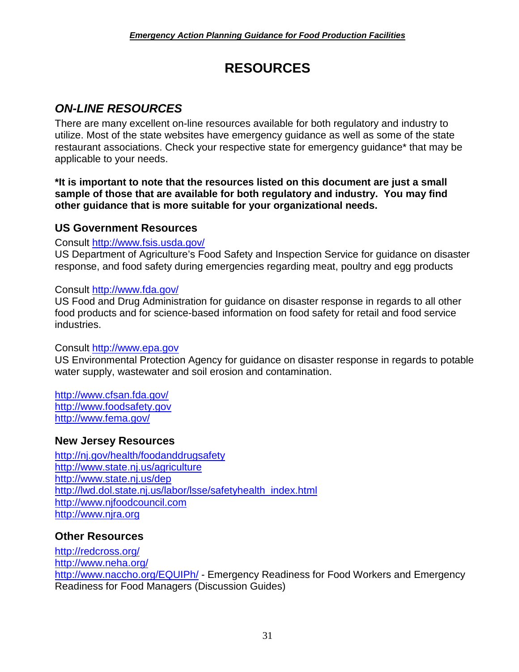## **RESOURCES**

## <span id="page-32-1"></span><span id="page-32-0"></span>*ON-LINE RESOURCES*

There are many excellent on-line resources available for both regulatory and industry to utilize. Most of the state websites have emergency guidance as well as some of the state restaurant associations. Check your respective state for emergency guidance\* that may be applicable to your needs.

**\*It is important to note that the resources listed on this document are just a small sample of those that are available for both regulatory and industry. You may find other guidance that is more suitable for your organizational needs.** 

## **US Government Resources**

#### Consult<http://www.fsis.usda.gov/>

US Department of Agriculture's Food Safety and Inspection Service for guidance on disaster response, and food safety during emergencies regarding meat, poultry and egg products

#### Consult<http://www.fda.gov/>

US Food and Drug Administration for guidance on disaster response in regards to all other food products and for science-based information on food safety for retail and food service industries.

#### Consult [http://www.epa.gov](http://www.epa.gov/)

US Environmental Protection Agency for guidance on disaster response in regards to potable water supply, wastewater and soil erosion and contamination.

<http://www.cfsan.fda.gov/> [http://www.foodsafety.gov](http://www.foodsafety.gov/) <http://www.fema.gov/>

## **New Jersey Resources**

<http://nj.gov/health/foodanddrugsafety> <http://www.state.nj.us/agriculture> <http://www.state.nj.us/dep> [http://lwd.dol.state.nj.us/labor/lsse/safetyhealth\\_index.html](http://lwd.dol.state.nj.us/labor/lsse/safetyhealth_index.html) [http://www.njfoodcouncil.com](http://www.njfoodcouncil.com/) [http://www.njra.org](http://www.njra.org/)

## **Other Resources**

<http://redcross.org/> <http://www.neha.org/> <http://www.naccho.org/EQUIPh/> - Emergency Readiness for Food Workers and Emergency Readiness for Food Managers (Discussion Guides)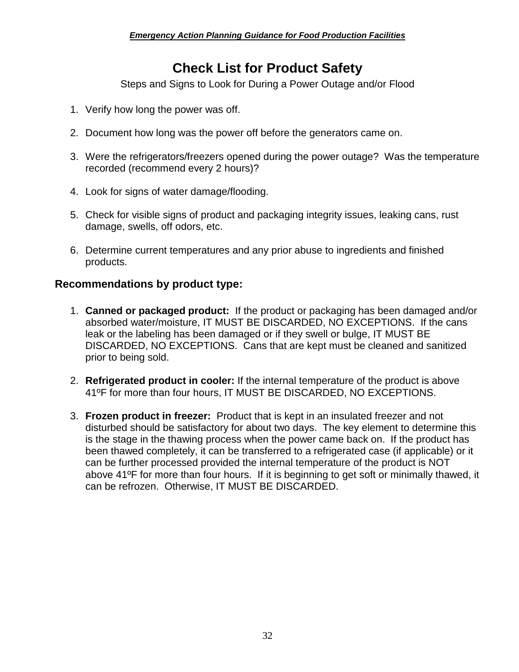## **Check List for Product Safety**

Steps and Signs to Look for During a Power Outage and/or Flood

- <span id="page-33-0"></span>1. Verify how long the power was off.
- 2. Document how long was the power off before the generators came on.
- 3. Were the refrigerators/freezers opened during the power outage? Was the temperature recorded (recommend every 2 hours)?
- 4. Look for signs of water damage/flooding.
- 5. Check for visible signs of product and packaging integrity issues, leaking cans, rust damage, swells, off odors, etc.
- 6. Determine current temperatures and any prior abuse to ingredients and finished products.

#### **Recommendations by product type:**

- 1. **Canned or packaged product:** If the product or packaging has been damaged and/or absorbed water/moisture, IT MUST BE DISCARDED, NO EXCEPTIONS. If the cans leak or the labeling has been damaged or if they swell or bulge, IT MUST BE DISCARDED, NO EXCEPTIONS. Cans that are kept must be cleaned and sanitized prior to being sold.
- 2. **Refrigerated product in cooler:** If the internal temperature of the product is above 41ºF for more than four hours, IT MUST BE DISCARDED, NO EXCEPTIONS.
- <span id="page-33-1"></span>3. **Frozen product in freezer:** Product that is kept in an insulated freezer and not disturbed should be satisfactory for about two days. The key element to determine this is the stage in the thawing process when the power came back on. If the product has been thawed completely, it can be transferred to a refrigerated case (if applicable) or it can be further processed provided the internal temperature of the product is NOT above 41ºF for more than four hours. If it is beginning to get soft or minimally thawed, it can be refrozen. Otherwise, IT MUST BE DISCARDED.